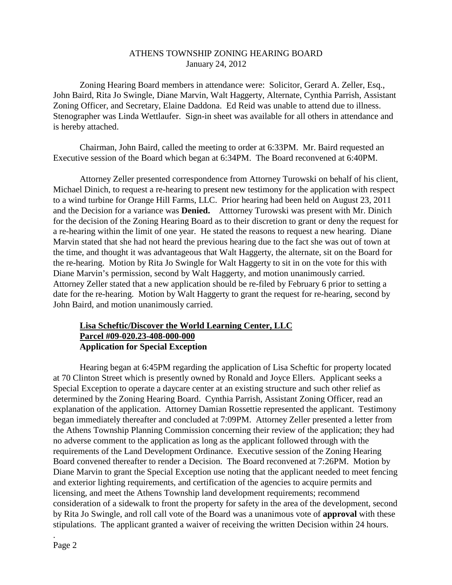#### ATHENS TOWNSHIP ZONING HEARING BOARD January 24, 2012

Zoning Hearing Board members in attendance were: Solicitor, Gerard A. Zeller, Esq., John Baird, Rita Jo Swingle, Diane Marvin, Walt Haggerty, Alternate, Cynthia Parrish, Assistant Zoning Officer, and Secretary, Elaine Daddona. Ed Reid was unable to attend due to illness. Stenographer was Linda Wettlaufer. Sign-in sheet was available for all others in attendance and is hereby attached.

Chairman, John Baird, called the meeting to order at 6:33PM. Mr. Baird requested an Executive session of the Board which began at 6:34PM. The Board reconvened at 6:40PM.

Attorney Zeller presented correspondence from Attorney Turowski on behalf of his client, Michael Dinich, to request a re-hearing to present new testimony for the application with respect to a wind turbine for Orange Hill Farms, LLC. Prior hearing had been held on August 23, 2011 and the Decision for a variance was **Denied.** Atttorney Turowski was present with Mr. Dinich for the decision of the Zoning Hearing Board as to their discretion to grant or deny the request for a re-hearing within the limit of one year. He stated the reasons to request a new hearing. Diane Marvin stated that she had not heard the previous hearing due to the fact she was out of town at the time, and thought it was advantageous that Walt Haggerty, the alternate, sit on the Board for the re-hearing. Motion by Rita Jo Swingle for Walt Haggerty to sit in on the vote for this with Diane Marvin's permission, second by Walt Haggerty, and motion unanimously carried. Attorney Zeller stated that a new application should be re-filed by February 6 prior to setting a date for the re-hearing. Motion by Walt Haggerty to grant the request for re-hearing, second by John Baird, and motion unanimously carried.

### **Lisa Scheftic/Discover the World Learning Center, LLC Parcel #09-020.23-408-000-000 Application for Special Exception**

 Hearing began at 6:45PM regarding the application of Lisa Scheftic for property located at 70 Clinton Street which is presently owned by Ronald and Joyce Ellers. Applicant seeks a Special Exception to operate a daycare center at an existing structure and such other relief as determined by the Zoning Hearing Board. Cynthia Parrish, Assistant Zoning Officer, read an explanation of the application. Attorney Damian Rossettie represented the applicant. Testimony began immediately thereafter and concluded at 7:09PM. Attorney Zeller presented a letter from the Athens Township Planning Commission concerning their review of the application; they had no adverse comment to the application as long as the applicant followed through with the requirements of the Land Development Ordinance. Executive session of the Zoning Hearing Board convened thereafter to render a Decision. The Board reconvened at 7:26PM. Motion by Diane Marvin to grant the Special Exception use noting that the applicant needed to meet fencing and exterior lighting requirements, and certification of the agencies to acquire permits and licensing, and meet the Athens Township land development requirements; recommend consideration of a sidewalk to front the property for safety in the area of the development, second by Rita Jo Swingle, and roll call vote of the Board was a unanimous vote of **approval** with these stipulations. The applicant granted a waiver of receiving the written Decision within 24 hours.

.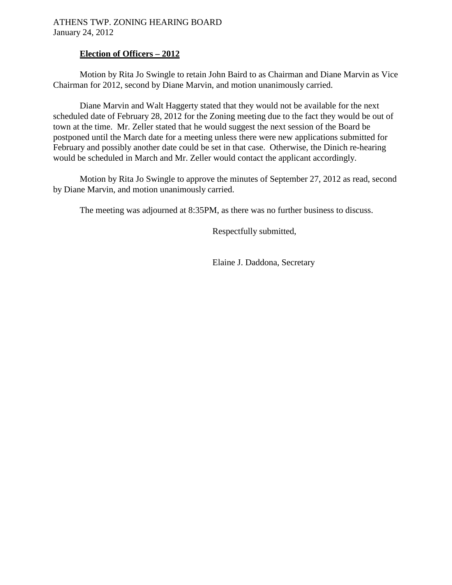## **Election of Officers – 2012**

 Motion by Rita Jo Swingle to retain John Baird to as Chairman and Diane Marvin as Vice Chairman for 2012, second by Diane Marvin, and motion unanimously carried.

 Diane Marvin and Walt Haggerty stated that they would not be available for the next scheduled date of February 28, 2012 for the Zoning meeting due to the fact they would be out of town at the time. Mr. Zeller stated that he would suggest the next session of the Board be postponed until the March date for a meeting unless there were new applications submitted for February and possibly another date could be set in that case. Otherwise, the Dinich re-hearing would be scheduled in March and Mr. Zeller would contact the applicant accordingly.

 Motion by Rita Jo Swingle to approve the minutes of September 27, 2012 as read, second by Diane Marvin, and motion unanimously carried.

The meeting was adjourned at 8:35PM, as there was no further business to discuss.

Respectfully submitted,

Elaine J. Daddona, Secretary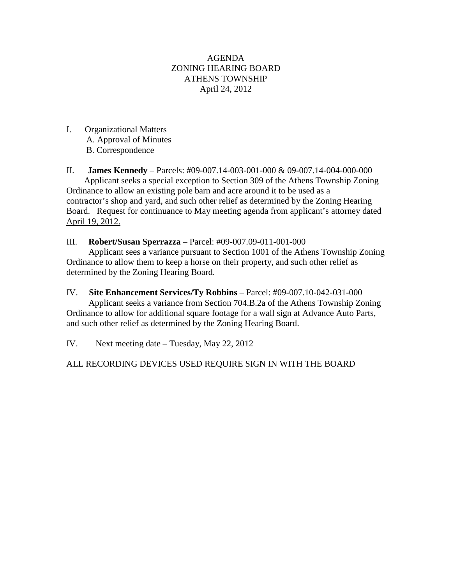### AGENDA ZONING HEARING BOARD ATHENS TOWNSHIP April 24, 2012

I. Organizational Matters A. Approval of Minutes B. Correspondence

II. **James Kennedy** – Parcels: #09-007.14-003-001-000 & 09-007.14-004-000-000 Applicant seeks a special exception to Section 309 of the Athens Township Zoning Ordinance to allow an existing pole barn and acre around it to be used as a contractor's shop and yard, and such other relief as determined by the Zoning Hearing Board. Request for continuance to May meeting agenda from applicant's attorney dated April 19, 2012.

III. **Robert/Susan Sperrazza** – Parcel: #09-007.09-011-001-000

Applicant sees a variance pursuant to Section 1001 of the Athens Township Zoning Ordinance to allow them to keep a horse on their property, and such other relief as determined by the Zoning Hearing Board.

IV. **Site Enhancement Services/Ty Robbins** – Parcel: #09-007.10-042-031-000 Applicant seeks a variance from Section 704.B.2a of the Athens Township Zoning Ordinance to allow for additional square footage for a wall sign at Advance Auto Parts, and such other relief as determined by the Zoning Hearing Board.

IV. Next meeting date – Tuesday, May 22, 2012

ALL RECORDING DEVICES USED REQUIRE SIGN IN WITH THE BOARD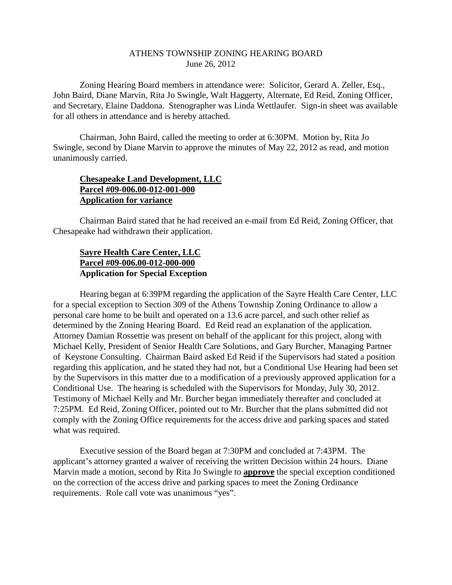#### ATHENS TOWNSHIP ZONING HEARING BOARD June 26, 2012

Zoning Hearing Board members in attendance were: Solicitor, Gerard A. Zeller, Esq., John Baird, Diane Marvin, Rita Jo Swingle, Walt Haggerty, Alternate, Ed Reid, Zoning Officer, and Secretary, Elaine Daddona. Stenographer was Linda Wettlaufer. Sign-in sheet was available for all others in attendance and is hereby attached.

Chairman, John Baird, called the meeting to order at 6:30PM. Motion by, Rita Jo Swingle, second by Diane Marvin to approve the minutes of May 22, 2012 as read, and motion unanimously carried.

### **Chesapeake Land Development, LLC Parcel #09-006.00-012-001-000 Application for variance**

 Chairman Baird stated that he had received an e-mail from Ed Reid, Zoning Officer, that Chesapeake had withdrawn their application.

## **Sayre Health Care Center, LLC Parcel #09-006.00-012-000-000 Application for Special Exception**

 Hearing began at 6:39PM regarding the application of the Sayre Health Care Center, LLC for a special exception to Section 309 of the Athens Township Zoning Ordinance to allow a personal care home to be built and operated on a 13.6 acre parcel, and such other relief as determined by the Zoning Hearing Board. Ed Reid read an explanation of the application. Attorney Damian Rossettie was present on behalf of the applicant for this project, along with Michael Kelly, President of Senior Health Care Solutions, and Gary Burcher, Managing Partner of Keystone Consulting. Chairman Baird asked Ed Reid if the Supervisors had stated a position regarding this application, and he stated they had not, but a Conditional Use Hearing had been set by the Supervisors in this matter due to a modification of a previously approved application for a Conditional Use. The hearing is scheduled with the Supervisors for Monday, July 30, 2012. Testimony of Michael Kelly and Mr. Burcher began immediately thereafter and concluded at 7:25PM. Ed Reid, Zoning Officer, pointed out to Mr. Burcher that the plans submitted did not comply with the Zoning Office requirements for the access drive and parking spaces and stated what was required.

 Executive session of the Board began at 7:30PM and concluded at 7:43PM. The applicant's attorney granted a waiver of receiving the written Decision within 24 hours. Diane Marvin made a motion, second by Rita Jo Swingle to **approve** the special exception conditioned on the correction of the access drive and parking spaces to meet the Zoning Ordinance requirements. Role call vote was unanimous "yes".